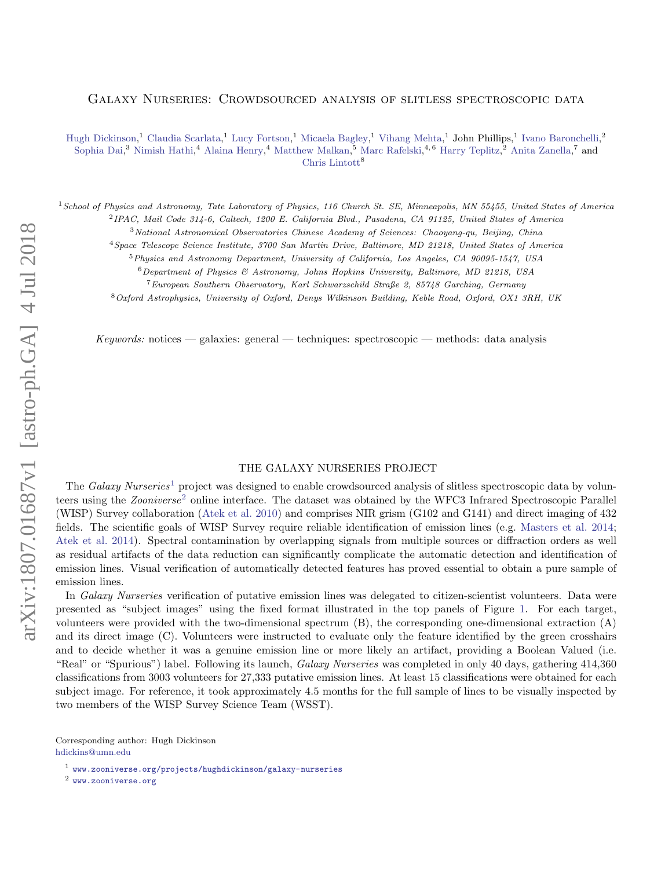## Galaxy Nurseries: Crowdsourced analysis of slitless spectroscopic data

[Hugh Dickinson,](http://orcid.org/0000-0003-0475-008X)<sup>1</sup> [Claudia Scarlata,](http://orcid.org/0000-0002-9136-8876)<sup>1</sup> [Lucy Fortson,](http://orcid.org/0000-0002-1067-8558)<sup>1</sup> [Micaela Bagley,](http://orcid.org/0000-0002-9921-9218)<sup>1</sup> [Vihang Mehta,](http://orcid.org/0000-0001-7166-6035)<sup>1</sup> John Phillips,<sup>1</sup> [Ivano Baronchelli,](http://orcid.org/0000-0003-0556-2929)<sup>2</sup> [Sophia Dai,](http://orcid.org/0000-0002-7928-416X)<sup>3</sup> [Nimish Hathi,](http://orcid.org/0000-0001-6145-5090)<sup>4</sup> [Alaina Henry,](http://orcid.org/0000-0002-6586-4446)<sup>4</sup> [Matthew Malkan,](http://orcid.org/0000-0001-6919-1237)<sup>5</sup> [Marc Rafelski,](http://orcid.org/0000-0002-9946-4731)<sup>4,6</sup> [Harry Teplitz,](http://orcid.org/0000-0002-7064-5424)<sup>2</sup> [Anita Zanella,](http://orcid.org/0000-0001-8600-7008)<sup>7</sup> and [Chris Lintott](http://orcid.org/0000-0001-5578-359X) $^8$ 

<sup>1</sup> School of Physics and Astronomy, Tate Laboratory of Physics, 116 Church St. SE, Minneapolis, MN 55455, United States of America 2 IPAC, Mail Code 314-6, Caltech, 1200 E. California Blvd., Pasadena, CA 91125, United States of America

<sup>3</sup>National Astronomical Observatories Chinese Academy of Sciences: Chaoyang-qu, Beijing, China

<sup>4</sup>Space Telescope Science Institute, 3700 San Martin Drive, Baltimore, MD 21218, United States of America

<sup>5</sup>Physics and Astronomy Department, University of California, Los Angeles, CA 90095-1547, USA

 $6$ Department of Physics & Astronomy, Johns Hopkins University, Baltimore, MD 21218, USA

<sup>7</sup>European Southern Observatory, Karl Schwarzschild Straße 2, 85748 Garching, Germany

<sup>8</sup>Oxford Astrophysics, University of Oxford, Denys Wilkinson Building, Keble Road, Oxford, OX1 3RH, UK

Keywords: notices — galaxies: general — techniques: spectroscopic — methods: data analysis

## THE GALAXY NURSERIES PROJECT

The Galaxy Nurseries<sup>[1](#page-0-0)</sup> project was designed to enable crowdsourced analysis of slitless spectroscopic data by volunteers using the *Zooniverse*<sup>[2](#page-0-1)</sup> online interface. The dataset was obtained by the WFC3 Infrared Spectroscopic Parallel (WISP) Survey collaboration [\(Atek et al.](#page-1-0) [2010\)](#page-1-0) and comprises NIR grism (G102 and G141) and direct imaging of 432 fields. The scientific goals of WISP Survey require reliable identification of emission lines (e.g. [Masters et al.](#page-1-1) [2014;](#page-1-1) [Atek et al.](#page-1-2) [2014\)](#page-1-2). Spectral contamination by overlapping signals from multiple sources or diffraction orders as well as residual artifacts of the data reduction can significantly complicate the automatic detection and identification of emission lines. Visual verification of automatically detected features has proved essential to obtain a pure sample of emission lines.

In Galaxy Nurseries verification of putative emission lines was delegated to citizen-scientist volunteers. Data were presented as "subject images" using the fixed format illustrated in the top panels of Figure [1.](#page-2-0) For each target, volunteers were provided with the two-dimensional spectrum (B), the corresponding one-dimensional extraction (A) and its direct image (C). Volunteers were instructed to evaluate only the feature identified by the green crosshairs and to decide whether it was a genuine emission line or more likely an artifact, providing a Boolean Valued (i.e. "Real" or "Spurious") label. Following its launch, Galaxy Nurseries was completed in only 40 days, gathering 414,360 classifications from 3003 volunteers for 27,333 putative emission lines. At least 15 classifications were obtained for each subject image. For reference, it took approximately 4.5 months for the full sample of lines to be visually inspected by two members of the WISP Survey Science Team (WSST).

Corresponding author: Hugh Dickinson [hdickins@umn.edu](mailto: hdickins@umn.edu)

<span id="page-0-1"></span><sup>2</sup> <www.zooniverse.org>

<span id="page-0-0"></span><sup>1</sup> <www.zooniverse.org/projects/hughdickinson/galaxy-nurseries>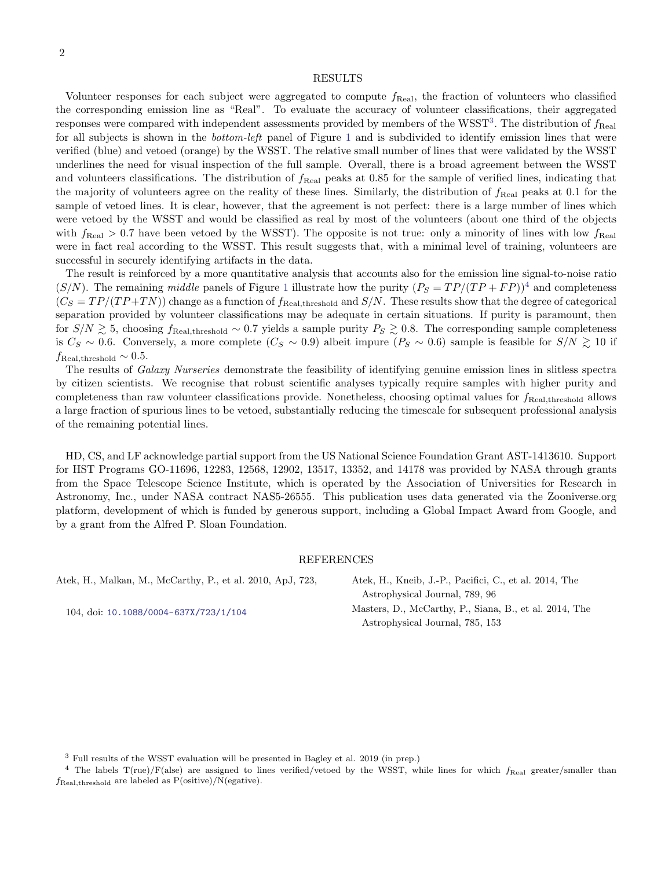## RESULTS

Volunteer responses for each subject were aggregated to compute  $f_{\text{Real}}$ , the fraction of volunteers who classified the corresponding emission line as "Real". To evaluate the accuracy of volunteer classifications, their aggregated responses were compared with independent assessments provided by members of the WSST<sup>[3](#page-1-3)</sup>. The distribution of  $f_{\text{Real}}$ for all subjects is shown in the *bottom-left* panel of Figure [1](#page-2-0) and is subdivided to identify emission lines that were verified (blue) and vetoed (orange) by the WSST. The relative small number of lines that were validated by the WSST underlines the need for visual inspection of the full sample. Overall, there is a broad agreement between the WSST and volunteers classifications. The distribution of  $f_{\text{Real}}$  peaks at 0.85 for the sample of verified lines, indicating that the majority of volunteers agree on the reality of these lines. Similarly, the distribution of  $f_{\text{Real}}$  peaks at 0.1 for the sample of vetoed lines. It is clear, however, that the agreement is not perfect: there is a large number of lines which were vetoed by the WSST and would be classified as real by most of the volunteers (about one third of the objects with  $f_{\text{Real}} > 0.7$  have been vetoed by the WSST). The opposite is not true: only a minority of lines with low  $f_{\text{Real}}$ were in fact real according to the WSST. This result suggests that, with a minimal level of training, volunteers are successful in securely identifying artifacts in the data.

The result is reinforced by a more quantitative analysis that accounts also for the emission line signal-to-noise ratio  $(S/N)$ . The remaining middle panels of Figure [1](#page-2-0) illustrate how the purity  $(P_S = TP/(TP + FP))^4$  $(P_S = TP/(TP + FP))^4$  and completeness  $(C_S = TP/(TP + TN))$  change as a function of  $f_{\text{Real,threshold}}$  and  $S/N$ . These results show that the degree of categorical separation provided by volunteer classifications may be adequate in certain situations. If purity is paramount, then for  $S/N \gtrsim 5$ , choosing  $f_{\text{Real,threshold}} \sim 0.7$  yields a sample purity  $P_S \gtrsim 0.8$ . The corresponding sample completeness is  $C_S \sim 0.6$ . Conversely, a more complete  $(C_S \sim 0.9)$  albeit impure  $(P_S \sim 0.6)$  sample is feasible for  $S/N \gtrsim 10$  if  $f_{\text{Real,threshold}} \sim 0.5.$ 

The results of *Galaxy Nurseries* demonstrate the feasibility of identifying genuine emission lines in slitless spectra by citizen scientists. We recognise that robust scientific analyses typically require samples with higher purity and completeness than raw volunteer classifications provide. Nonetheless, choosing optimal values for  $f_{\text{Real, threshold}}$  allows a large fraction of spurious lines to be vetoed, substantially reducing the timescale for subsequent professional analysis of the remaining potential lines.

HD, CS, and LF acknowledge partial support from the US National Science Foundation Grant AST-1413610. Support for HST Programs GO-11696, 12283, 12568, 12902, 13517, 13352, and 14178 was provided by NASA through grants from the Space Telescope Science Institute, which is operated by the Association of Universities for Research in Astronomy, Inc., under NASA contract NAS5-26555. This publication uses data generated via the Zooniverse.org platform, development of which is funded by generous support, including a Global Impact Award from Google, and by a grant from the Alfred P. Sloan Foundation.

## REFERENCES

<span id="page-1-0"></span>Atek, H., Malkan, M., McCarthy, P., et al. 2010, ApJ, 723,

104, doi: [10.1088/0004-637X/723/1/104](http://doi.org/10.1088/0004-637X/723/1/104)

<span id="page-1-2"></span><span id="page-1-1"></span>Atek, H., Kneib, J.-P., Pacifici, C., et al. 2014, The Astrophysical Journal, 789, 96 Masters, D., McCarthy, P., Siana, B., et al. 2014, The Astrophysical Journal, 785, 153

<span id="page-1-4"></span><span id="page-1-3"></span><sup>3</sup> Full results of the WSST evaluation will be presented in Bagley et al. 2019 (in prep.)

<sup>&</sup>lt;sup>4</sup> The labels  $T(rue)/F(ale)$  are assigned to lines verified/vetoed by the WSST, while lines for which  $f_{\text{Real}}$  greater/smaller than  $f_{\text{Real, threshold}}$  are labeled as  $P(\text{ositive})/N(\text{egative}).$